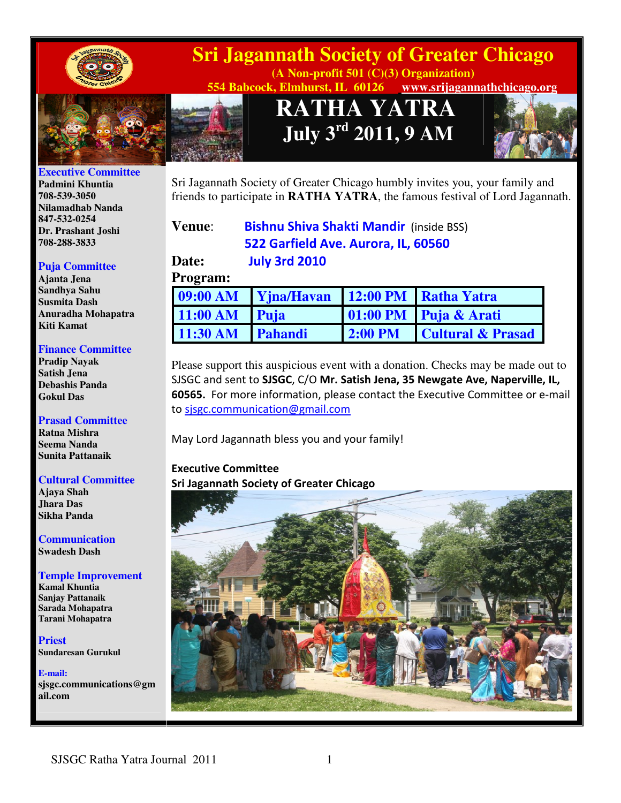



#### **Executive Committee**

**Padmini Khuntia 708-539-3050 Nilamadhab Nanda 847-532-0254 Dr. Prashant Joshi 708-288-3833** 

#### **Puja Committee**

**Ajanta Jena Sandhya Sahu Susmita Dash Anuradha Mohapatra Kiti Kamat** 

#### **Finance Committee**

**Pradip Nayak Satish Jena Debashis Panda Gokul Das** 

#### **Prasad Committee**

**Ratna Mishra Seema Nanda Sunita Pattanaik** 

#### **Cultural Committee**

**Ajaya Shah Jhara Das Sikha Panda** 

**Communication Swadesh Dash** 

#### **Temple Improvement**

**Kamal Khuntia Sanjay Pattanaik Sarada Mohapatra Tarani Mohapatra** 

**Priest Sundaresan Gurukul** 

**E-mail: sjsgc.communications@gm ail.com** 

# **Sri Jagannath Society of Greater Chicago**

**(A Non-profit 501 (C)(3) Organization) 554 Babcock, Elmhurst, IL 60126 www.srijagannathchicago.org**

> **RATHA YATRA July 3rd 2011, 9 AM**



Sri Jagannath Society of Greater Chicago humbly invites you, your family and friends to participate in **RATHA YATRA**, the famous festival of Lord Jagannath.

**Venue:** Bishnu Shiva Shakti Mandir (inside BSS) 522 Garfield Ave. Aurora, IL, 60560 **Date:** July 3rd 2010

#### **Program:**

|                  | 09:00 AM Yjna/Havan |  | 12:00 PM Ratha Yatra      |
|------------------|---------------------|--|---------------------------|
| 11:00 AM Puja    |                     |  | 01:00 PM Puja & Arati     |
| 11:30 AM Pahandi |                     |  | 2:00 PM Cultural & Prasad |

Please support this auspicious event with a donation. Checks may be made out to SJSGC and sent to SJSGC, C/O Mr. Satish Jena, 35 Newgate Ave, Naperville, IL, 60565. For more information, please contact the Executive Committee or e-mail to sjsgc.communication@gmail.com

May Lord Jagannath bless you and your family!

### Executive Committee Sri Jagannath Society of Greater Chicago

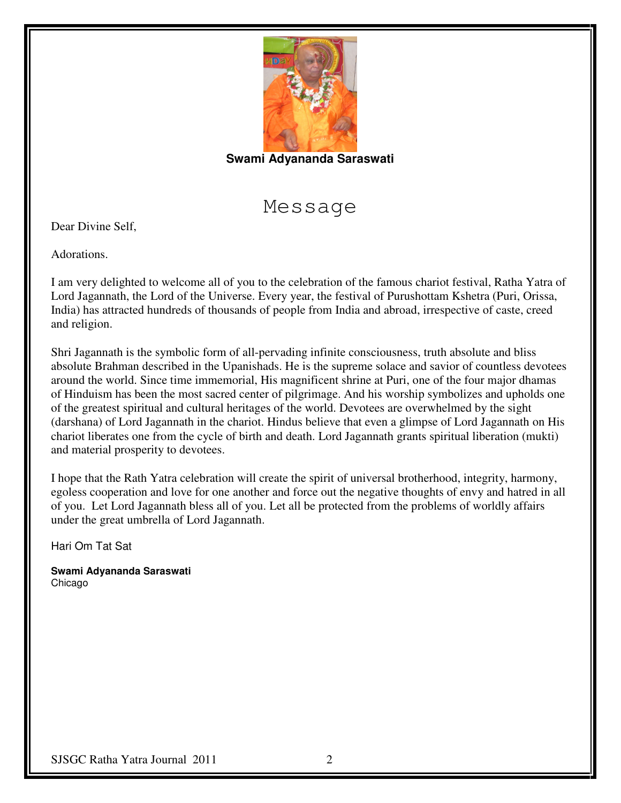

### **Swami Adyananda Saraswati**

Message

Dear Divine Self,

Adorations.

I am very delighted to welcome all of you to the celebration of the famous chariot festival, Ratha Yatra of Lord Jagannath, the Lord of the Universe. Every year, the festival of Purushottam Kshetra (Puri, Orissa, India) has attracted hundreds of thousands of people from India and abroad, irrespective of caste, creed and religion.

Shri Jagannath is the symbolic form of all-pervading infinite consciousness, truth absolute and bliss absolute Brahman described in the Upanishads. He is the supreme solace and savior of countless devotees around the world. Since time immemorial, His magnificent shrine at Puri, one of the four major dhamas of Hinduism has been the most sacred center of pilgrimage. And his worship symbolizes and upholds one of the greatest spiritual and cultural heritages of the world. Devotees are overwhelmed by the sight (darshana) of Lord Jagannath in the chariot. Hindus believe that even a glimpse of Lord Jagannath on His chariot liberates one from the cycle of birth and death. Lord Jagannath grants spiritual liberation (mukti) and material prosperity to devotees.

I hope that the Rath Yatra celebration will create the spirit of universal brotherhood, integrity, harmony, egoless cooperation and love for one another and force out the negative thoughts of envy and hatred in all of you. Let Lord Jagannath bless all of you. Let all be protected from the problems of worldly affairs under the great umbrella of Lord Jagannath.

Hari Om Tat Sat

**Swami Adyananda Saraswati** Chicago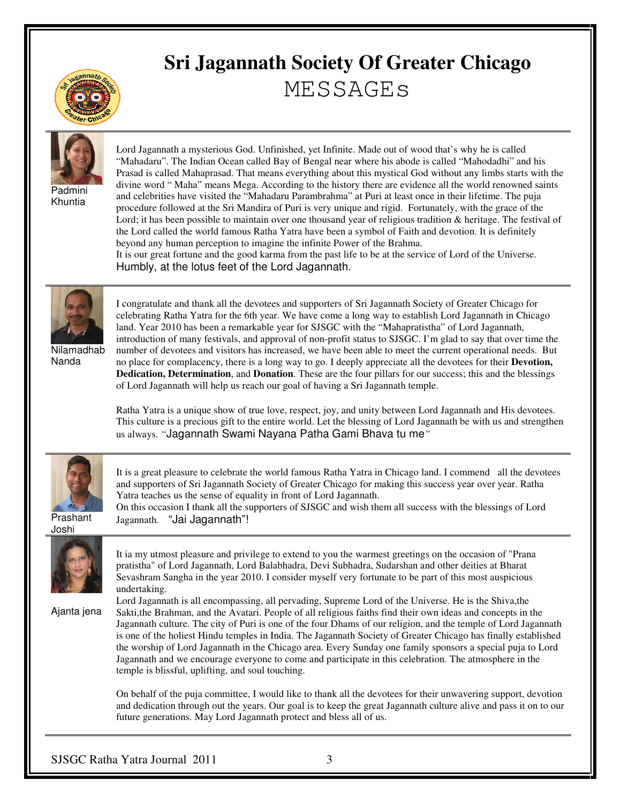

# **Sri Jagannath Society Of Greater Chicago**  MESSAGEs



Padmini Khuntia

Lord Jagannath a mysterious God. Unfinished, yet Infinite. Made out of wood that's why he is called "Mahadaru". The Indian Ocean called Bay of Bengal near where his abode is called "Mahodadhi" and his Prasad is called Mahaprasad. That means everything about this mystical God without any limbs starts with the divine word " Maha" means Mega. According to the history there are evidence all the world renowned saints and celebrities have visited the "Mahadaru Parambrahma" at Puri at least once in their lifetime. The puja procedure followed at the Sri Mandira of Puri is very unique and rigid. Fortunately, with the grace of the Lord; it has been possible to maintain over one thousand year of religious tradition & heritage. The festival of the Lord called the world famous Ratha Yatra have been a symbol of Faith and devotion. It is definitely beyond any human perception to imagine the infinite Power of the Brahma. It is our great fortune and the good karma from the past life to be at the service of Lord of the Universe.

Humbly, at the lotus feet of the Lord Jagannath.



Nilamadhab Nanda

I congratulate and thank all the devotees and supporters of Sri Jagannath Society of Greater Chicago for celebrating Ratha Yatra for the 6th year. We have come a long way to establish Lord Jagannath in Chicago land. Year 2010 has been a remarkable year for SJSGC with the "Mahapratistha" of Lord Jagannath, introduction of many festivals, and approval of non-profit status to SJSGC. I'm glad to say that over time the number of devotees and visitors has increased, we have been able to meet the current operational needs. But no place for complacency, there is a long way to go. I deeply appreciate all the devotees for their **Devotion, Dedication, Determination**, and **Donation**. These are the four pillars for our success; this and the blessings of Lord Jagannath will help us reach our goal of having a Sri Jagannath temple.

Ratha Yatra is a unique show of true love, respect, joy, and unity between Lord Jagannath and His devotees. This culture is a precious gift to the entire world. Let the blessing of Lord Jagannath be with us and strengthen us always. *"*Jagannath Swami Nayana Patha Gami Bhava tu me*"* 



It is a great pleasure to celebrate the world famous Ratha Yatra in Chicago land. I commend all the devotees and supporters of Sri Jagannath Society of Greater Chicago for making this success year over year. Ratha Yatra teaches us the sense of equality in front of Lord Jagannath. On this occasion I thank all the supporters of SJSGC and wish them all success with the blessings of Lord

Prashant Joshi



It ia my utmost pleasure and privilege to extend to you the warmest greetings on the occasion of "Prana pratistha" of Lord Jagannath, Lord Balabhadra, Devi Subhadra, Sudarshan and other deities at Bharat Sevashram Sangha in the year 2010. I consider myself very fortunate to be part of this most auspicious undertaking.

Ajanta jena

Lord Jagannath is all encompassing, all pervading, Supreme Lord of the Universe. He is the Shiva,the Sakti,the Brahman, and the Avatari. People of all religious faiths find their own ideas and concepts in the Jagannath culture. The city of Puri is one of the four Dhams of our religion, and the temple of Lord Jagannath is one of the holiest Hindu temples in India. The Jagannath Society of Greater Chicago has finally established the worship of Lord Jagannath in the Chicago area. Every Sunday one family sponsors a special puja to Lord Jagannath and we encourage everyone to come and participate in this celebration. The atmosphere in the temple is blissful, uplifting, and soul touching.

On behalf of the puja committee, I would like to thank all the devotees for their unwavering support, devotion and dedication through out the years. Our goal is to keep the great Jagannath culture alive and pass it on to our future generations. May Lord Jagannath protect and bless all of us.

Jagannath. "Jai Jagannath"!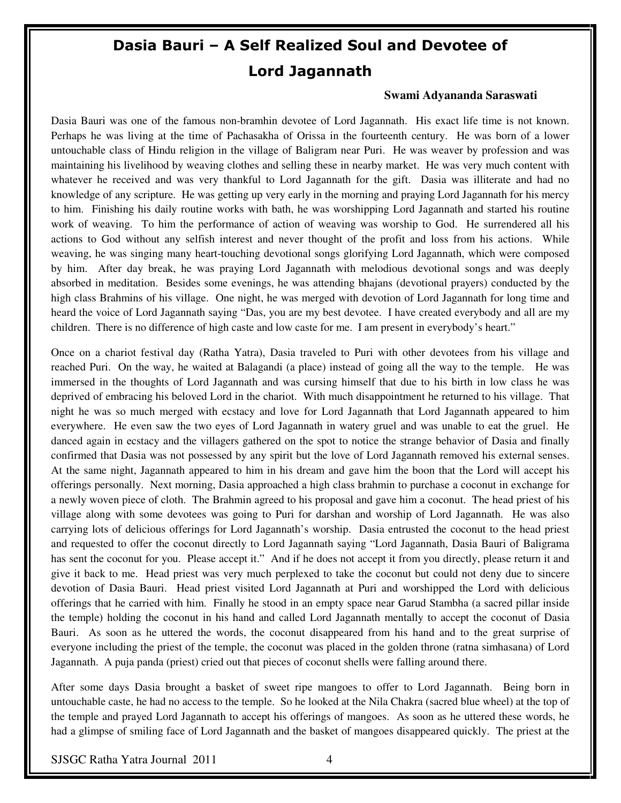# Dasia Bauri – A Self Realized Soul and Devotee of Lord Jagannath

#### **Swami Adyananda Saraswati**

Dasia Bauri was one of the famous non-bramhin devotee of Lord Jagannath. His exact life time is not known. Perhaps he was living at the time of Pachasakha of Orissa in the fourteenth century. He was born of a lower untouchable class of Hindu religion in the village of Baligram near Puri. He was weaver by profession and was maintaining his livelihood by weaving clothes and selling these in nearby market. He was very much content with whatever he received and was very thankful to Lord Jagannath for the gift. Dasia was illiterate and had no knowledge of any scripture. He was getting up very early in the morning and praying Lord Jagannath for his mercy to him. Finishing his daily routine works with bath, he was worshipping Lord Jagannath and started his routine work of weaving. To him the performance of action of weaving was worship to God. He surrendered all his actions to God without any selfish interest and never thought of the profit and loss from his actions. While weaving, he was singing many heart-touching devotional songs glorifying Lord Jagannath, which were composed by him. After day break, he was praying Lord Jagannath with melodious devotional songs and was deeply absorbed in meditation. Besides some evenings, he was attending bhajans (devotional prayers) conducted by the high class Brahmins of his village. One night, he was merged with devotion of Lord Jagannath for long time and heard the voice of Lord Jagannath saying "Das, you are my best devotee. I have created everybody and all are my children. There is no difference of high caste and low caste for me. I am present in everybody's heart."

Once on a chariot festival day (Ratha Yatra), Dasia traveled to Puri with other devotees from his village and reached Puri. On the way, he waited at Balagandi (a place) instead of going all the way to the temple. He was immersed in the thoughts of Lord Jagannath and was cursing himself that due to his birth in low class he was deprived of embracing his beloved Lord in the chariot. With much disappointment he returned to his village. That night he was so much merged with ecstacy and love for Lord Jagannath that Lord Jagannath appeared to him everywhere. He even saw the two eyes of Lord Jagannath in watery gruel and was unable to eat the gruel. He danced again in ecstacy and the villagers gathered on the spot to notice the strange behavior of Dasia and finally confirmed that Dasia was not possessed by any spirit but the love of Lord Jagannath removed his external senses. At the same night, Jagannath appeared to him in his dream and gave him the boon that the Lord will accept his offerings personally. Next morning, Dasia approached a high class brahmin to purchase a coconut in exchange for a newly woven piece of cloth. The Brahmin agreed to his proposal and gave him a coconut. The head priest of his village along with some devotees was going to Puri for darshan and worship of Lord Jagannath. He was also carrying lots of delicious offerings for Lord Jagannath's worship. Dasia entrusted the coconut to the head priest and requested to offer the coconut directly to Lord Jagannath saying "Lord Jagannath, Dasia Bauri of Baligrama has sent the coconut for you. Please accept it." And if he does not accept it from you directly, please return it and give it back to me. Head priest was very much perplexed to take the coconut but could not deny due to sincere devotion of Dasia Bauri. Head priest visited Lord Jagannath at Puri and worshipped the Lord with delicious offerings that he carried with him. Finally he stood in an empty space near Garud Stambha (a sacred pillar inside the temple) holding the coconut in his hand and called Lord Jagannath mentally to accept the coconut of Dasia Bauri. As soon as he uttered the words, the coconut disappeared from his hand and to the great surprise of everyone including the priest of the temple, the coconut was placed in the golden throne (ratna simhasana) of Lord Jagannath. A puja panda (priest) cried out that pieces of coconut shells were falling around there.

After some days Dasia brought a basket of sweet ripe mangoes to offer to Lord Jagannath. Being born in untouchable caste, he had no access to the temple. So he looked at the Nila Chakra (sacred blue wheel) at the top of the temple and prayed Lord Jagannath to accept his offerings of mangoes. As soon as he uttered these words, he had a glimpse of smiling face of Lord Jagannath and the basket of mangoes disappeared quickly. The priest at the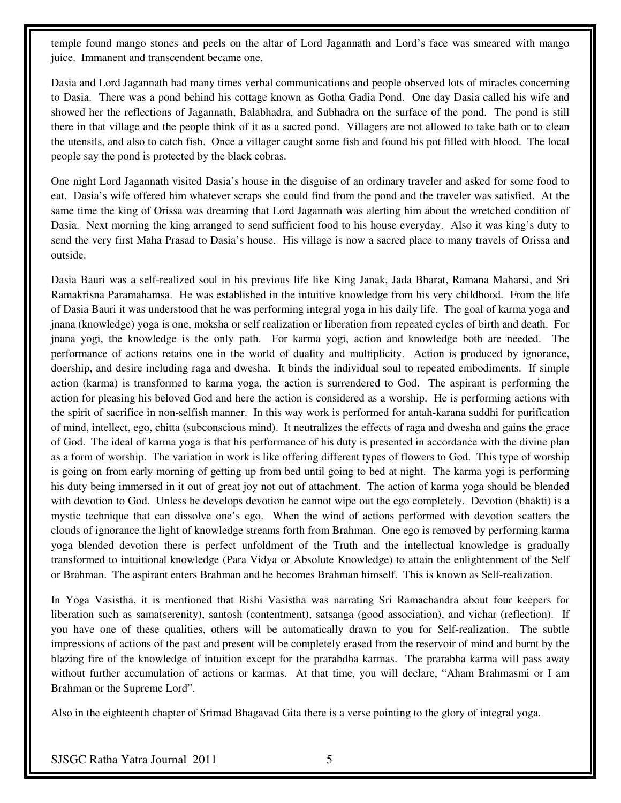temple found mango stones and peels on the altar of Lord Jagannath and Lord's face was smeared with mango juice. Immanent and transcendent became one.

Dasia and Lord Jagannath had many times verbal communications and people observed lots of miracles concerning to Dasia. There was a pond behind his cottage known as Gotha Gadia Pond. One day Dasia called his wife and showed her the reflections of Jagannath, Balabhadra, and Subhadra on the surface of the pond. The pond is still there in that village and the people think of it as a sacred pond. Villagers are not allowed to take bath or to clean the utensils, and also to catch fish. Once a villager caught some fish and found his pot filled with blood. The local people say the pond is protected by the black cobras.

One night Lord Jagannath visited Dasia's house in the disguise of an ordinary traveler and asked for some food to eat. Dasia's wife offered him whatever scraps she could find from the pond and the traveler was satisfied. At the same time the king of Orissa was dreaming that Lord Jagannath was alerting him about the wretched condition of Dasia. Next morning the king arranged to send sufficient food to his house everyday. Also it was king's duty to send the very first Maha Prasad to Dasia's house. His village is now a sacred place to many travels of Orissa and outside.

Dasia Bauri was a self-realized soul in his previous life like King Janak, Jada Bharat, Ramana Maharsi, and Sri Ramakrisna Paramahamsa. He was established in the intuitive knowledge from his very childhood. From the life of Dasia Bauri it was understood that he was performing integral yoga in his daily life. The goal of karma yoga and jnana (knowledge) yoga is one, moksha or self realization or liberation from repeated cycles of birth and death. For jnana yogi, the knowledge is the only path. For karma yogi, action and knowledge both are needed. The performance of actions retains one in the world of duality and multiplicity. Action is produced by ignorance, doership, and desire including raga and dwesha. It binds the individual soul to repeated embodiments. If simple action (karma) is transformed to karma yoga, the action is surrendered to God. The aspirant is performing the action for pleasing his beloved God and here the action is considered as a worship. He is performing actions with the spirit of sacrifice in non-selfish manner. In this way work is performed for antah-karana suddhi for purification of mind, intellect, ego, chitta (subconscious mind). It neutralizes the effects of raga and dwesha and gains the grace of God. The ideal of karma yoga is that his performance of his duty is presented in accordance with the divine plan as a form of worship. The variation in work is like offering different types of flowers to God. This type of worship is going on from early morning of getting up from bed until going to bed at night. The karma yogi is performing his duty being immersed in it out of great joy not out of attachment. The action of karma yoga should be blended with devotion to God. Unless he develops devotion he cannot wipe out the ego completely. Devotion (bhakti) is a mystic technique that can dissolve one's ego. When the wind of actions performed with devotion scatters the clouds of ignorance the light of knowledge streams forth from Brahman. One ego is removed by performing karma yoga blended devotion there is perfect unfoldment of the Truth and the intellectual knowledge is gradually transformed to intuitional knowledge (Para Vidya or Absolute Knowledge) to attain the enlightenment of the Self or Brahman. The aspirant enters Brahman and he becomes Brahman himself. This is known as Self-realization.

In Yoga Vasistha, it is mentioned that Rishi Vasistha was narrating Sri Ramachandra about four keepers for liberation such as sama(serenity), santosh (contentment), satsanga (good association), and vichar (reflection). If you have one of these qualities, others will be automatically drawn to you for Self-realization. The subtle impressions of actions of the past and present will be completely erased from the reservoir of mind and burnt by the blazing fire of the knowledge of intuition except for the prarabdha karmas. The prarabha karma will pass away without further accumulation of actions or karmas. At that time, you will declare, "Aham Brahmasmi or I am Brahman or the Supreme Lord".

Also in the eighteenth chapter of Srimad Bhagavad Gita there is a verse pointing to the glory of integral yoga.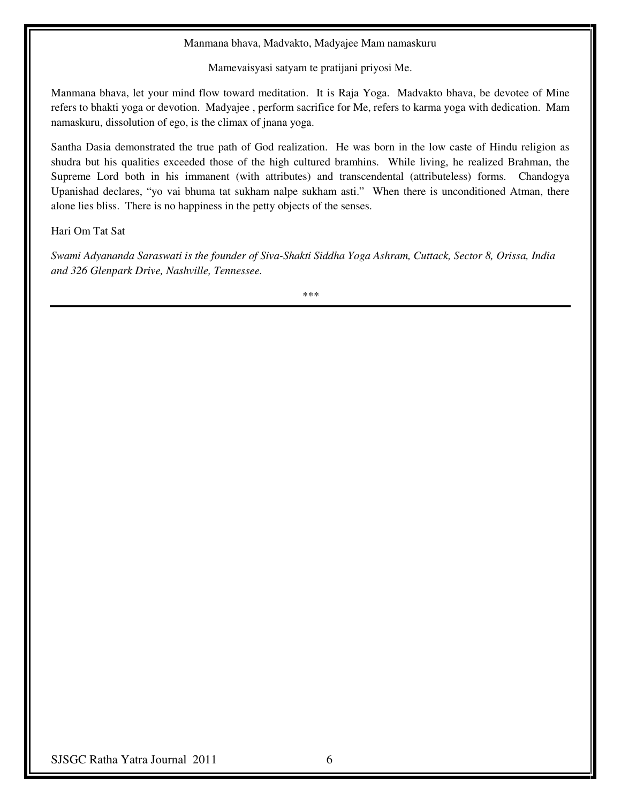#### Manmana bhava, Madvakto, Madyajee Mam namaskuru

Mamevaisyasi satyam te pratijani priyosi Me.

Manmana bhava, let your mind flow toward meditation. It is Raja Yoga. Madvakto bhava, be devotee of Mine refers to bhakti yoga or devotion. Madyajee , perform sacrifice for Me, refers to karma yoga with dedication. Mam namaskuru, dissolution of ego, is the climax of jnana yoga.

Santha Dasia demonstrated the true path of God realization. He was born in the low caste of Hindu religion as shudra but his qualities exceeded those of the high cultured bramhins. While living, he realized Brahman, the Supreme Lord both in his immanent (with attributes) and transcendental (attributeless) forms. Chandogya Upanishad declares, "yo vai bhuma tat sukham nalpe sukham asti." When there is unconditioned Atman, there alone lies bliss. There is no happiness in the petty objects of the senses.

Hari Om Tat Sat

*Swami Adyananda Saraswati is the founder of Siva-Shakti Siddha Yoga Ashram, Cuttack, Sector 8, Orissa, India and 326 Glenpark Drive, Nashville, Tennessee.* 

*\*\*\**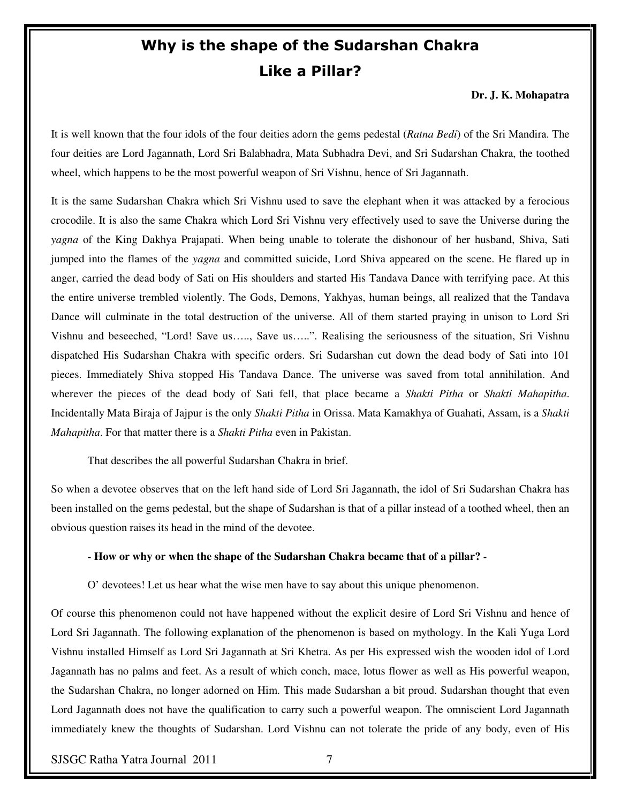# Why is the shape of the Sudarshan Chakra Like a Pillar?

**Dr. J. K. Mohapatra** 

It is well known that the four idols of the four deities adorn the gems pedestal (*Ratna Bedi*) of the Sri Mandira. The four deities are Lord Jagannath, Lord Sri Balabhadra, Mata Subhadra Devi, and Sri Sudarshan Chakra, the toothed wheel, which happens to be the most powerful weapon of Sri Vishnu, hence of Sri Jagannath.

It is the same Sudarshan Chakra which Sri Vishnu used to save the elephant when it was attacked by a ferocious crocodile. It is also the same Chakra which Lord Sri Vishnu very effectively used to save the Universe during the *yagna* of the King Dakhya Prajapati. When being unable to tolerate the dishonour of her husband, Shiva, Sati jumped into the flames of the *yagna* and committed suicide, Lord Shiva appeared on the scene. He flared up in anger, carried the dead body of Sati on His shoulders and started His Tandava Dance with terrifying pace. At this the entire universe trembled violently. The Gods, Demons, Yakhyas, human beings, all realized that the Tandava Dance will culminate in the total destruction of the universe. All of them started praying in unison to Lord Sri Vishnu and beseeched, "Lord! Save us….., Save us…..". Realising the seriousness of the situation, Sri Vishnu dispatched His Sudarshan Chakra with specific orders. Sri Sudarshan cut down the dead body of Sati into 101 pieces. Immediately Shiva stopped His Tandava Dance. The universe was saved from total annihilation. And wherever the pieces of the dead body of Sati fell, that place became a *Shakti Pitha* or *Shakti Mahapitha*. Incidentally Mata Biraja of Jajpur is the only *Shakti Pitha* in Orissa. Mata Kamakhya of Guahati, Assam, is a *Shakti Mahapitha*. For that matter there is a *Shakti Pitha* even in Pakistan.

That describes the all powerful Sudarshan Chakra in brief.

So when a devotee observes that on the left hand side of Lord Sri Jagannath, the idol of Sri Sudarshan Chakra has been installed on the gems pedestal, but the shape of Sudarshan is that of a pillar instead of a toothed wheel, then an obvious question raises its head in the mind of the devotee.

#### **- How or why or when the shape of the Sudarshan Chakra became that of a pillar? -**

O' devotees! Let us hear what the wise men have to say about this unique phenomenon.

Of course this phenomenon could not have happened without the explicit desire of Lord Sri Vishnu and hence of Lord Sri Jagannath. The following explanation of the phenomenon is based on mythology. In the Kali Yuga Lord Vishnu installed Himself as Lord Sri Jagannath at Sri Khetra. As per His expressed wish the wooden idol of Lord Jagannath has no palms and feet. As a result of which conch, mace, lotus flower as well as His powerful weapon, the Sudarshan Chakra, no longer adorned on Him. This made Sudarshan a bit proud. Sudarshan thought that even Lord Jagannath does not have the qualification to carry such a powerful weapon. The omniscient Lord Jagannath immediately knew the thoughts of Sudarshan. Lord Vishnu can not tolerate the pride of any body, even of His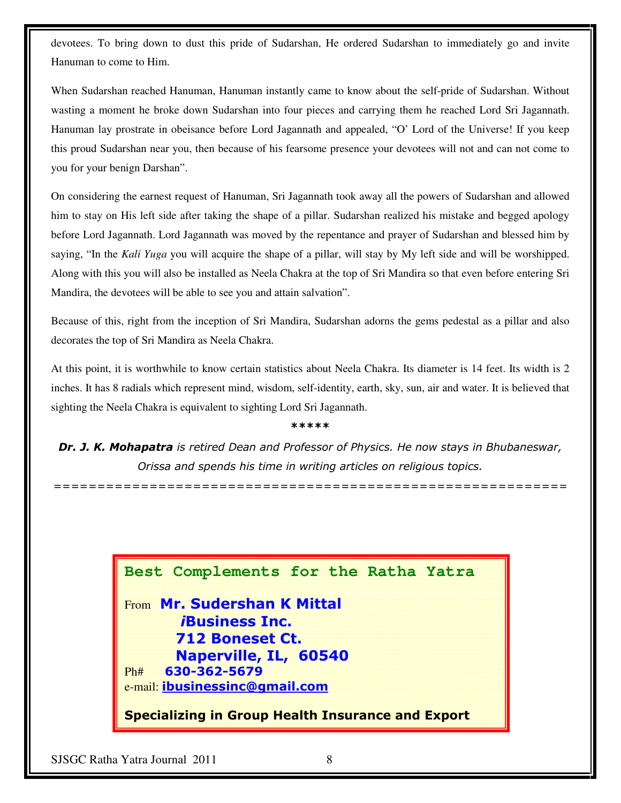devotees. To bring down to dust this pride of Sudarshan, He ordered Sudarshan to immediately go and invite Hanuman to come to Him.

When Sudarshan reached Hanuman, Hanuman instantly came to know about the self-pride of Sudarshan. Without wasting a moment he broke down Sudarshan into four pieces and carrying them he reached Lord Sri Jagannath. Hanuman lay prostrate in obeisance before Lord Jagannath and appealed, "O' Lord of the Universe! If you keep this proud Sudarshan near you, then because of his fearsome presence your devotees will not and can not come to you for your benign Darshan".

On considering the earnest request of Hanuman, Sri Jagannath took away all the powers of Sudarshan and allowed him to stay on His left side after taking the shape of a pillar. Sudarshan realized his mistake and begged apology before Lord Jagannath. Lord Jagannath was moved by the repentance and prayer of Sudarshan and blessed him by saying, "In the *Kali Yuga* you will acquire the shape of a pillar, will stay by My left side and will be worshipped. Along with this you will also be installed as Neela Chakra at the top of Sri Mandira so that even before entering Sri Mandira, the devotees will be able to see you and attain salvation".

Because of this, right from the inception of Sri Mandira, Sudarshan adorns the gems pedestal as a pillar and also decorates the top of Sri Mandira as Neela Chakra.

At this point, it is worthwhile to know certain statistics about Neela Chakra. Its diameter is 14 feet. Its width is 2 inches. It has 8 radials which represent mind, wisdom, self-identity, earth, sky, sun, air and water. It is believed that sighting the Neela Chakra is equivalent to sighting Lord Sri Jagannath.

#### \*\*\*\*\*

Dr. J. K. Mohapatra is retired Dean and Professor of Physics. He now stays in Bhubaneswar, Orissa and spends his time in writing articles on religious topics.

===========================================================

**Best Complements for the Ratha Yatra** 

From Mr. Sudershan K Mittal iBusiness Inc. 712 Boneset Ct. Naperville, IL, 60540 Ph# 630-362-5679 e-mail: ibusinessinc@gmail.com

Specializing in Group Health Insurance and Export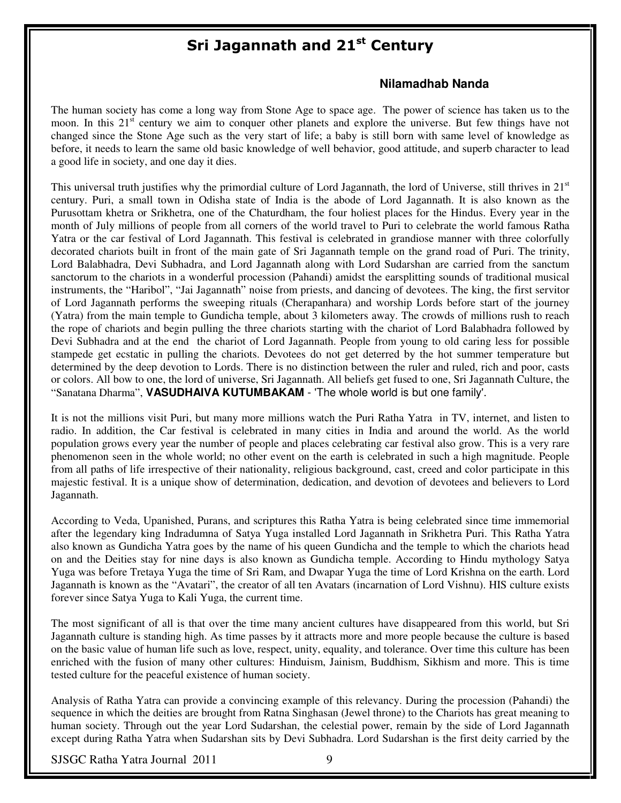# Sri Jagannath and 21<sup>st</sup> Century

#### **Nilamadhab Nanda**

The human society has come a long way from Stone Age to space age. The power of science has taken us to the moon. In this 21<sup>st</sup> century we aim to conquer other planets and explore the universe. But few things have not changed since the Stone Age such as the very start of life; a baby is still born with same level of knowledge as before, it needs to learn the same old basic knowledge of well behavior, good attitude, and superb character to lead a good life in society, and one day it dies.

This universal truth justifies why the primordial culture of Lord Jagannath, the lord of Universe, still thrives in  $21<sup>st</sup>$ century. Puri, a small town in Odisha state of India is the abode of Lord Jagannath. It is also known as the Purusottam khetra or Srikhetra, one of the Chaturdham, the four holiest places for the Hindus. Every year in the month of July millions of people from all corners of the world travel to Puri to celebrate the world famous Ratha Yatra or the car festival of Lord Jagannath. This festival is celebrated in grandiose manner with three colorfully decorated chariots built in front of the main gate of Sri Jagannath temple on the grand road of Puri. The trinity, Lord Balabhadra, Devi Subhadra, and Lord Jagannath along with Lord Sudarshan are carried from the sanctum sanctorum to the chariots in a wonderful procession (Pahandi) amidst the earsplitting sounds of traditional musical instruments, the "Haribol", "Jai Jagannath" noise from priests, and dancing of devotees. The king, the first servitor of Lord Jagannath performs the sweeping rituals (Cherapanhara) and worship Lords before start of the journey (Yatra) from the main temple to Gundicha temple, about 3 kilometers away. The crowds of millions rush to reach the rope of chariots and begin pulling the three chariots starting with the chariot of Lord Balabhadra followed by Devi Subhadra and at the end the chariot of Lord Jagannath. People from young to old caring less for possible stampede get ecstatic in pulling the chariots. Devotees do not get deterred by the hot summer temperature but determined by the deep devotion to Lords. There is no distinction between the ruler and ruled, rich and poor, casts or colors. All bow to one, the lord of universe, Sri Jagannath. All beliefs get fused to one, Sri Jagannath Culture, the "Sanatana Dharma", **VASUDHAIVA KUTUMBAKAM** - 'The whole world is but one family'.

It is not the millions visit Puri, but many more millions watch the Puri Ratha Yatra in TV, internet, and listen to radio. In addition, the Car festival is celebrated in many cities in India and around the world. As the world population grows every year the number of people and places celebrating car festival also grow. This is a very rare phenomenon seen in the whole world; no other event on the earth is celebrated in such a high magnitude. People from all paths of life irrespective of their nationality, religious background, cast, creed and color participate in this majestic festival. It is a unique show of determination, dedication, and devotion of devotees and believers to Lord Jagannath.

According to Veda, Upanished, Purans, and scriptures this Ratha Yatra is being celebrated since time immemorial after the legendary king Indradumna of Satya Yuga installed Lord Jagannath in Srikhetra Puri. This Ratha Yatra also known as Gundicha Yatra goes by the name of his queen Gundicha and the temple to which the chariots head on and the Deities stay for nine days is also known as Gundicha temple. According to Hindu mythology Satya Yuga was before Tretaya Yuga the time of Sri Ram, and Dwapar Yuga the time of Lord Krishna on the earth. Lord Jagannath is known as the "Avatari", the creator of all ten Avatars (incarnation of Lord Vishnu). HIS culture exists forever since Satya Yuga to Kali Yuga, the current time.

The most significant of all is that over the time many ancient cultures have disappeared from this world, but Sri Jagannath culture is standing high. As time passes by it attracts more and more people because the culture is based on the basic value of human life such as love, respect, unity, equality, and tolerance. Over time this culture has been enriched with the fusion of many other cultures: Hinduism, Jainism, Buddhism, Sikhism and more. This is time tested culture for the peaceful existence of human society.

Analysis of Ratha Yatra can provide a convincing example of this relevancy. During the procession (Pahandi) the sequence in which the deities are brought from Ratna Singhasan (Jewel throne) to the Chariots has great meaning to human society. Through out the year Lord Sudarshan, the celestial power, remain by the side of Lord Jagannath except during Ratha Yatra when Sudarshan sits by Devi Subhadra. Lord Sudarshan is the first deity carried by the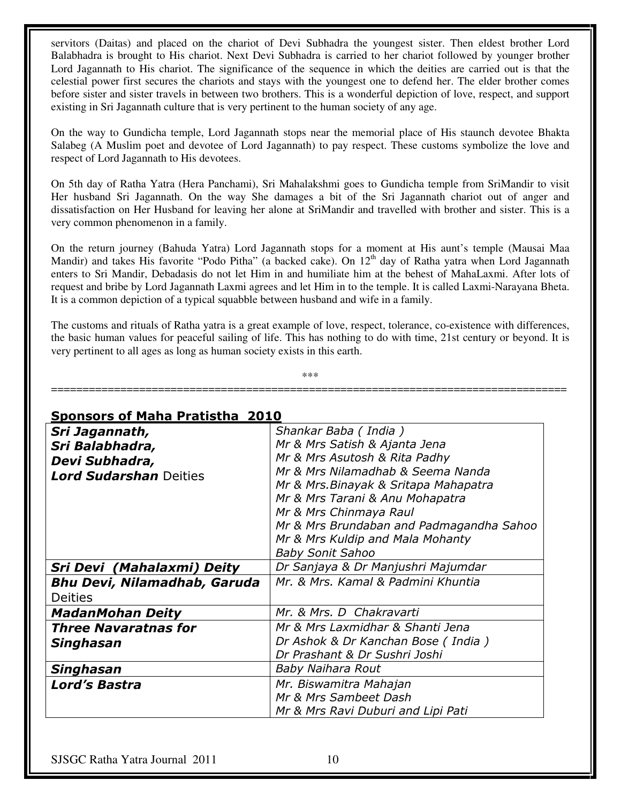servitors (Daitas) and placed on the chariot of Devi Subhadra the youngest sister. Then eldest brother Lord Balabhadra is brought to His chariot. Next Devi Subhadra is carried to her chariot followed by younger brother Lord Jagannath to His chariot. The significance of the sequence in which the deities are carried out is that the celestial power first secures the chariots and stays with the youngest one to defend her. The elder brother comes before sister and sister travels in between two brothers. This is a wonderful depiction of love, respect, and support existing in Sri Jagannath culture that is very pertinent to the human society of any age.

On the way to Gundicha temple, Lord Jagannath stops near the memorial place of His staunch devotee Bhakta Salabeg (A Muslim poet and devotee of Lord Jagannath) to pay respect. These customs symbolize the love and respect of Lord Jagannath to His devotees.

On 5th day of Ratha Yatra (Hera Panchami), Sri Mahalakshmi goes to Gundicha temple from SriMandir to visit Her husband Sri Jagannath. On the way She damages a bit of the Sri Jagannath chariot out of anger and dissatisfaction on Her Husband for leaving her alone at SriMandir and travelled with brother and sister. This is a very common phenomenon in a family.

On the return journey (Bahuda Yatra) Lord Jagannath stops for a moment at His aunt's temple (Mausai Maa Mandir) and takes His favorite "Podo Pitha" (a backed cake). On  $12<sup>th</sup>$  day of Ratha yatra when Lord Jagannath enters to Sri Mandir, Debadasis do not let Him in and humiliate him at the behest of MahaLaxmi. After lots of request and bribe by Lord Jagannath Laxmi agrees and let Him in to the temple. It is called Laxmi-Narayana Bheta. It is a common depiction of a typical squabble between husband and wife in a family.

The customs and rituals of Ratha yatra is a great example of love, respect, tolerance, co-existence with differences, the basic human values for peaceful sailing of life. This has nothing to do with time, 21st century or beyond. It is very pertinent to all ages as long as human society exists in this earth.

\*\*\* ==================================================================================

### Sponsors of Maha Pratistha 2010

| Sri Jagannath,                      | Shankar Baba (India)                     |  |
|-------------------------------------|------------------------------------------|--|
| Sri Balabhadra,                     | Mr & Mrs Satish & Ajanta Jena            |  |
| Devi Subhadra,                      | Mr & Mrs Asutosh & Rita Padhy            |  |
| <b>Lord Sudarshan</b> Deities       | Mr & Mrs Nilamadhab & Seema Nanda        |  |
|                                     | Mr & Mrs. Binayak & Sritapa Mahapatra    |  |
|                                     | Mr & Mrs Tarani & Anu Mohapatra          |  |
|                                     | Mr & Mrs Chinmaya Raul                   |  |
|                                     | Mr & Mrs Brundaban and Padmagandha Sahoo |  |
|                                     | Mr & Mrs Kuldip and Mala Mohanty         |  |
|                                     | <b>Baby Sonit Sahoo</b>                  |  |
| Sri Devi (Mahalaxmi) Deity          | Dr Sanjaya & Dr Manjushri Majumdar       |  |
| <b>Bhu Devi, Nilamadhab, Garuda</b> | Mr. & Mrs. Kamal & Padmini Khuntia       |  |
| <b>Deities</b>                      |                                          |  |
| <b>MadanMohan Deity</b>             | Mr. & Mrs. D Chakravarti                 |  |
| <b>Three Navaratnas for</b>         | Mr & Mrs Laxmidhar & Shanti Jena         |  |
| Singhasan                           | Dr Ashok & Dr Kanchan Bose (India)       |  |
|                                     | Dr Prashant & Dr Sushri Joshi            |  |
| Singhasan                           | Baby Naihara Rout                        |  |
| <b>Lord's Bastra</b>                | Mr. Biswamitra Mahajan                   |  |
|                                     | Mr & Mrs Sambeet Dash                    |  |
|                                     | Mr & Mrs Ravi Duburi and Lipi Pati       |  |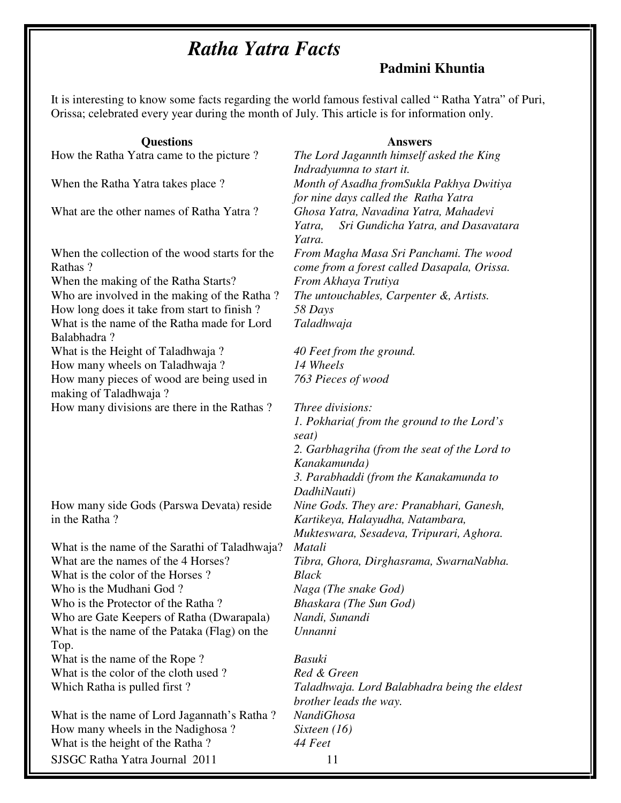# *Ratha Yatra Facts*

# **Padmini Khuntia**

It is interesting to know some facts regarding the world famous festival called " Ratha Yatra" of Puri, Orissa; celebrated every year during the month of July. This article is for information only.

| <b>Questions</b>                               | <b>Answers</b>                               |  |
|------------------------------------------------|----------------------------------------------|--|
| How the Ratha Yatra came to the picture?       | The Lord Jagannth himself asked the King     |  |
|                                                | Indradyumna to start it.                     |  |
| When the Ratha Yatra takes place?              | Month of Asadha fromSukla Pakhya Dwitiya     |  |
|                                                | for nine days called the Ratha Yatra         |  |
| What are the other names of Ratha Yatra?       | Ghosa Yatra, Navadina Yatra, Mahadevi        |  |
|                                                | Yatra,<br>Sri Gundicha Yatra, and Dasavatara |  |
|                                                | Yatra.                                       |  |
| When the collection of the wood starts for the | From Magha Masa Sri Panchami. The wood       |  |
| Rathas?                                        | come from a forest called Dasapala, Orissa.  |  |
| When the making of the Ratha Starts?           | From Akhaya Trutiya                          |  |
| Who are involved in the making of the Ratha?   | The untouchables, Carpenter &, Artists.      |  |
|                                                |                                              |  |
| How long does it take from start to finish?    | 58 Days                                      |  |
| What is the name of the Ratha made for Lord    | Taladhwaja                                   |  |
| Balabhadra?                                    |                                              |  |
| What is the Height of Taladhwaja?              | 40 Feet from the ground.                     |  |
| How many wheels on Taladhwaja?                 | 14 Wheels                                    |  |
| How many pieces of wood are being used in      | 763 Pieces of wood                           |  |
| making of Taladhwaja?                          |                                              |  |
| How many divisions are there in the Rathas?    | Three divisions:                             |  |
|                                                | 1. Pokharia(from the ground to the Lord's    |  |
|                                                | seat)                                        |  |
|                                                | 2. Garbhagriha (from the seat of the Lord to |  |
|                                                | Kanakamunda)                                 |  |
|                                                | 3. Parabhaddi (from the Kanakamunda to       |  |
|                                                | DadhiNauti)                                  |  |
| How many side Gods (Parswa Devata) reside      | Nine Gods. They are: Pranabhari, Ganesh,     |  |
| in the Ratha?                                  | Kartikeya, Halayudha, Natambara,             |  |
|                                                | Mukteswara, Sesadeva, Tripurari, Aghora.     |  |
| What is the name of the Sarathi of Taladhwaja? | Matali                                       |  |
| What are the names of the 4 Horses?            | Tibra, Ghora, Dirghasrama, SwarnaNabha.      |  |
| What is the color of the Horses?               | <b>Black</b>                                 |  |
| Who is the Mudhani God?                        | Naga (The snake God)                         |  |
| Who is the Protector of the Ratha?             | Bhaskara (The Sun God)                       |  |
| Who are Gate Keepers of Ratha (Dwarapala)      | Nandi, Sunandi                               |  |
| What is the name of the Pataka (Flag) on the   | Unnanni                                      |  |
| Top.                                           |                                              |  |
| What is the name of the Rope?                  | Basuki                                       |  |
| What is the color of the cloth used?           | Red & Green                                  |  |
| Which Ratha is pulled first?                   | Taladhwaja. Lord Balabhadra being the eldest |  |
|                                                | brother leads the way.                       |  |
| What is the name of Lord Jagannath's Ratha?    | <b>NandiGhosa</b>                            |  |
| How many wheels in the Nadighosa?              | Sixteen $(16)$                               |  |
| What is the height of the Ratha?               | 44 Feet                                      |  |
| SJSGC Ratha Yatra Journal 2011                 | 11                                           |  |
|                                                |                                              |  |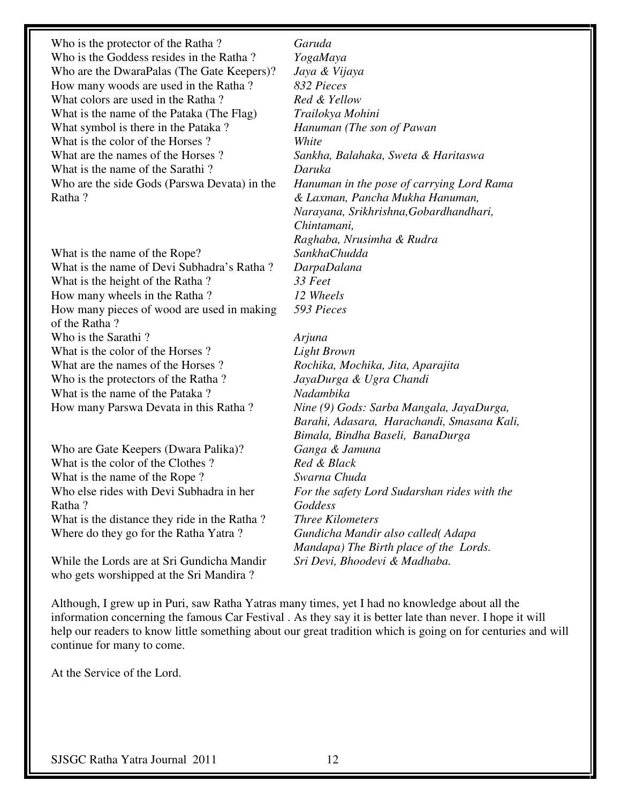Who is the protector of the Ratha ? *Garuda*  Who is the Goddess resides in the Ratha ? *YogaMaya*  Who are the DwaraPalas (The Gate Keepers)? *Jaya & Vijaya*  How many woods are used in the Ratha ? *832 Pieces*  What colors are used in the Ratha ? *Red & Yellow*  What is the name of the Pataka (The Flag) *Trailokya Mohini*  What symbol is there in the Pataka ? *Hanuman (The son of Pawan*  What is the color of the Horses ? *White*  What are the names of the Horses ? *Sankha, Balahaka, Sweta & Haritaswa*  What is the name of the Sarathi ? *Daruka*  Who are the side Gods (Parswa Devata) in the Ratha ?

What is the name of the Rope? *SankhaChudda*  What is the name of Devi Subhadra's Ratha ? *DarpaDalana*  What is the height of the Ratha ? *33 Feet*  How many wheels in the Ratha ? *12 Wheels*  How many pieces of wood are used in making of the Ratha ? Who is the Sarathi ? *Arjuna*  What is the color of the Horses ? *Light Brown*  What are the names of the Horses ? *Rochika, Mochika, Jita, Aparajita*  Who is the protectors of the Ratha ? *JayaDurga & Ugra Chandi*  What is the name of the Pataka ? *Nadambika*  How many Parswa Devata in this Ratha ? *Nine (9) Gods: Sarba Mangala, JayaDurga,* 

Who are Gate Keepers (Dwara Palika)? *Ganga & Jamuna*  What is the color of the Clothes ? *Red & Black* What is the name of the Rope ? *Swarna Chuda*  Who else rides with Devi Subhadra in her Ratha ? What is the distance they ride in the Ratha? Where do they go for the Ratha Yatra ? *Gundicha Mandir also called( Adapa* 

While the Lords are at Sri Gundicha Mandir who gets worshipped at the Sri Mandira ?

*Hanuman in the pose of carrying Lord Rama & Laxman, Pancha Mukha Hanuman, Narayana, Srikhrishna,Gobardhandhari, Chintamani, Raghaba, Nrusimha & Rudra 593 Pieces* 

*Barahi, Adasara, Harachandi, Smasana Kali, Bimala, Bindha Baseli, BanaDurga For the safety Lord Sudarshan rides with the Goddess Mandapa) The Birth place of the Lords. Sri Devi, Bhoodevi & Madhaba.* 

Although, I grew up in Puri, saw Ratha Yatras many times, yet I had no knowledge about all the information concerning the famous Car Festival . As they say it is better late than never. I hope it will help our readers to know little something about our great tradition which is going on for centuries and will continue for many to come.

At the Service of the Lord.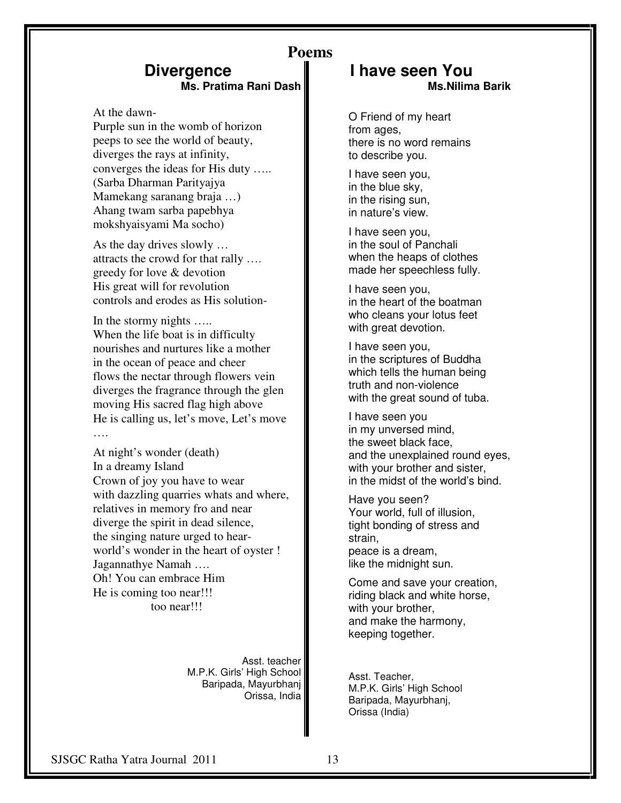## **Divergence Ms. Pratima Rani Dash**

At the dawn-

Purple sun in the womb of horizon peeps to see the world of beauty, diverges the rays at infinity, converges the ideas for His duty ….. (Sarba Dharman Parityajya Mamekang saranang braja …) Ahang twam sarba papebhya mokshyaisyami Ma socho)

As the day drives slowly … attracts the crowd for that rally …. greedy for love & devotion His great will for revolution controls and erodes as His solution-

In the stormy nights ….. When the life boat is in difficulty nourishes and nurtures like a mother in the ocean of peace and cheer flows the nectar through flowers vein diverges the fragrance through the glen moving His sacred flag high above He is calling us, let's move, Let's move ….

At night's wonder (death) In a dreamy Island Crown of joy you have to wear with dazzling quarries whats and where, relatives in memory fro and near diverge the spirit in dead silence, the singing nature urged to hearworld's wonder in the heart of oyster ! Jagannathye Namah …. Oh! You can embrace Him He is coming too near!!! too near!!!

> Asst. teacher M.P.K. Girls' High School Baripada, Mayurbhanj Orissa, India

### **Poems I have seen You Ms.Nilima Barik**

O Friend of my heart from ages, there is no word remains to describe you.

I have seen you, in the blue sky, in the rising sun, in nature's view.

I have seen you, in the soul of Panchali when the heaps of clothes made her speechless fully.

I have seen you, in the heart of the boatman who cleans your lotus feet with great devotion.

I have seen you, in the scriptures of Buddha which tells the human being truth and non-violence with the great sound of tuba.

I have seen you in my unversed mind, the sweet black face, and the unexplained round eyes, with your brother and sister, in the midst of the world's bind.

Have you seen? Your world, full of illusion, tight bonding of stress and strain, peace is a dream, like the midnight sun.

Come and save your creation, riding black and white horse, with your brother, and make the harmony, keeping together.

Asst. Teacher, M.P.K. Girls' High School Baripada, Mayurbhanj, Orissa (India)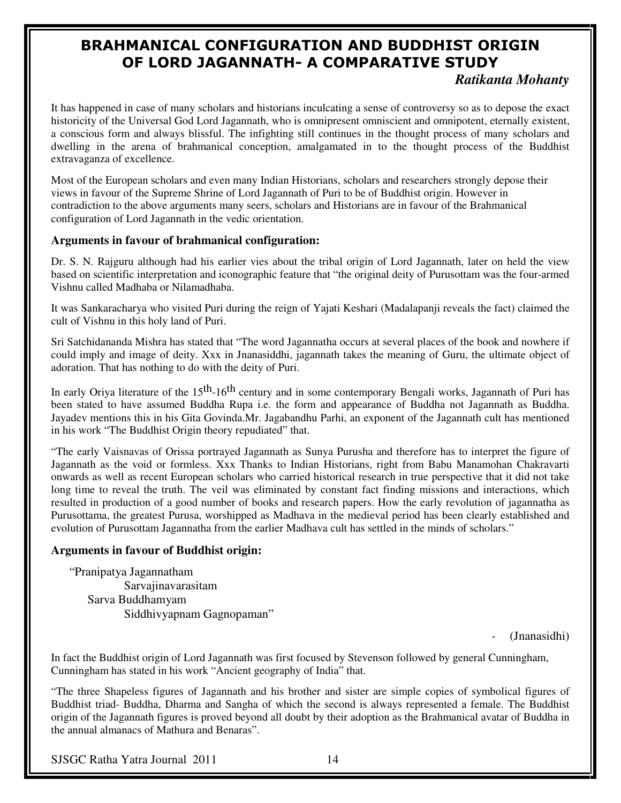# BRAHMANICAL CONFIGURATION AND BUDDHIST ORIGIN OF LORD JAGANNATH- A COMPARATIVE STUDY

### *Ratikanta Mohanty*

It has happened in case of many scholars and historians inculcating a sense of controversy so as to depose the exact historicity of the Universal God Lord Jagannath, who is omnipresent omniscient and omnipotent, eternally existent, a conscious form and always blissful. The infighting still continues in the thought process of many scholars and dwelling in the arena of brahmanical conception, amalgamated in to the thought process of the Buddhist extravaganza of excellence.

Most of the European scholars and even many Indian Historians, scholars and researchers strongly depose their views in favour of the Supreme Shrine of Lord Jagannath of Puri to be of Buddhist origin. However in contradiction to the above arguments many seers, scholars and Historians are in favour of the Brahmanical configuration of Lord Jagannath in the vedic orientation.

### **Arguments in favour of brahmanical configuration:**

Dr. S. N. Rajguru although had his earlier vies about the tribal origin of Lord Jagannath, later on held the view based on scientific interpretation and iconographic feature that "the original deity of Purusottam was the four-armed Vishnu called Madhaba or Nilamadhaba.

It was Sankaracharya who visited Puri during the reign of Yajati Keshari (Madalapanji reveals the fact) claimed the cult of Vishnu in this holy land of Puri.

Sri Satchidananda Mishra has stated that "The word Jagannatha occurs at several places of the book and nowhere if could imply and image of deity. Xxx in Jnanasiddhi, jagannath takes the meaning of Guru, the ultimate object of adoration. That has nothing to do with the deity of Puri.

In early Oriya literature of the  $15<sup>th</sup>$ -16<sup>th</sup> century and in some contemporary Bengali works, Jagannath of Puri has been stated to have assumed Buddha Rupa i.e. the form and appearance of Buddha not Jagannath as Buddha. Jayadev mentions this in his Gita Govinda.Mr. Jagabandhu Parhi, an exponent of the Jagannath cult has mentioned in his work "The Buddhist Origin theory repudiated" that.

"The early Vaisnavas of Orissa portrayed Jagannath as Sunya Purusha and therefore has to interpret the figure of Jagannath as the void or formless. Xxx Thanks to Indian Historians, right from Babu Manamohan Chakravarti onwards as well as recent European scholars who carried historical research in true perspective that it did not take long time to reveal the truth. The veil was eliminated by constant fact finding missions and interactions, which resulted in production of a good number of books and research papers. How the early revolution of jagannatha as Purusottama, the greatest Purusa, worshipped as Madhava in the medieval period has been clearly established and evolution of Purusottam Jagannatha from the earlier Madhava cult has settled in the minds of scholars."

#### **Arguments in favour of Buddhist origin:**

"Pranipatya Jagannatham Sarvajinavarasitam Sarva Buddhamyam Siddhivyapnam Gagnopaman"

(Jnanasidhi)

In fact the Buddhist origin of Lord Jagannath was first focused by Stevenson followed by general Cunningham, Cunningham has stated in his work "Ancient geography of India" that.

"The three Shapeless figures of Jagannath and his brother and sister are simple copies of symbolical figures of Buddhist triad- Buddha, Dharma and Sangha of which the second is always represented a female. The Buddhist origin of the Jagannath figures is proved beyond all doubt by their adoption as the Brahmanical avatar of Buddha in the annual almanacs of Mathura and Benaras".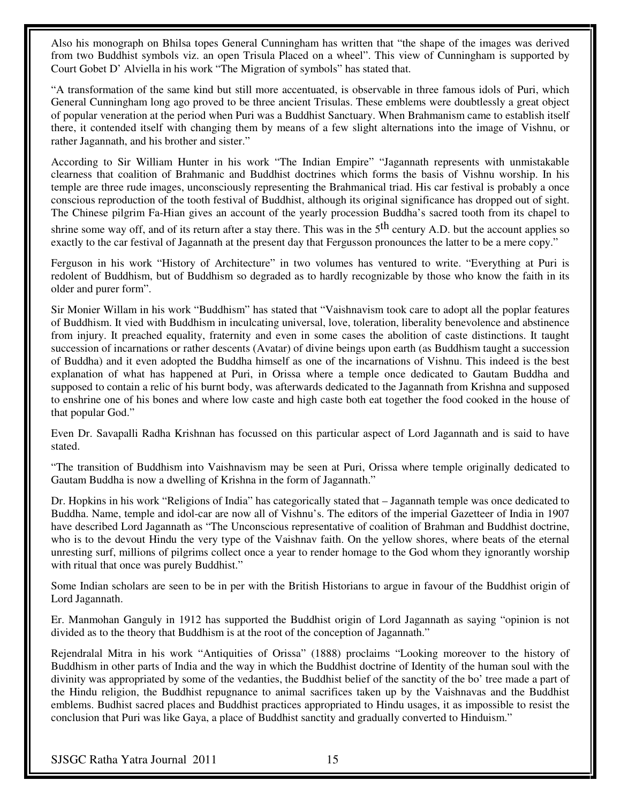Also his monograph on Bhilsa topes General Cunningham has written that "the shape of the images was derived from two Buddhist symbols viz. an open Trisula Placed on a wheel". This view of Cunningham is supported by Court Gobet D' Alviella in his work "The Migration of symbols" has stated that.

"A transformation of the same kind but still more accentuated, is observable in three famous idols of Puri, which General Cunningham long ago proved to be three ancient Trisulas. These emblems were doubtlessly a great object of popular veneration at the period when Puri was a Buddhist Sanctuary. When Brahmanism came to establish itself there, it contended itself with changing them by means of a few slight alternations into the image of Vishnu, or rather Jagannath, and his brother and sister."

According to Sir William Hunter in his work "The Indian Empire" "Jagannath represents with unmistakable clearness that coalition of Brahmanic and Buddhist doctrines which forms the basis of Vishnu worship. In his temple are three rude images, unconsciously representing the Brahmanical triad. His car festival is probably a once conscious reproduction of the tooth festival of Buddhist, although its original significance has dropped out of sight. The Chinese pilgrim Fa-Hian gives an account of the yearly procession Buddha's sacred tooth from its chapel to

shrine some way off, and of its return after a stay there. This was in the  $5<sup>th</sup>$  century A.D. but the account applies so exactly to the car festival of Jagannath at the present day that Fergusson pronounces the latter to be a mere copy."

Ferguson in his work "History of Architecture" in two volumes has ventured to write. "Everything at Puri is redolent of Buddhism, but of Buddhism so degraded as to hardly recognizable by those who know the faith in its older and purer form".

Sir Monier Willam in his work "Buddhism" has stated that "Vaishnavism took care to adopt all the poplar features of Buddhism. It vied with Buddhism in inculcating universal, love, toleration, liberality benevolence and abstinence from injury. It preached equality, fraternity and even in some cases the abolition of caste distinctions. It taught succession of incarnations or rather descents (Avatar) of divine beings upon earth (as Buddhism taught a succession of Buddha) and it even adopted the Buddha himself as one of the incarnations of Vishnu. This indeed is the best explanation of what has happened at Puri, in Orissa where a temple once dedicated to Gautam Buddha and supposed to contain a relic of his burnt body, was afterwards dedicated to the Jagannath from Krishna and supposed to enshrine one of his bones and where low caste and high caste both eat together the food cooked in the house of that popular God."

Even Dr. Savapalli Radha Krishnan has focussed on this particular aspect of Lord Jagannath and is said to have stated.

"The transition of Buddhism into Vaishnavism may be seen at Puri, Orissa where temple originally dedicated to Gautam Buddha is now a dwelling of Krishna in the form of Jagannath."

Dr. Hopkins in his work "Religions of India" has categorically stated that – Jagannath temple was once dedicated to Buddha. Name, temple and idol-car are now all of Vishnu's. The editors of the imperial Gazetteer of India in 1907 have described Lord Jagannath as "The Unconscious representative of coalition of Brahman and Buddhist doctrine, who is to the devout Hindu the very type of the Vaishnav faith. On the yellow shores, where beats of the eternal unresting surf, millions of pilgrims collect once a year to render homage to the God whom they ignorantly worship with ritual that once was purely Buddhist."

Some Indian scholars are seen to be in per with the British Historians to argue in favour of the Buddhist origin of Lord Jagannath.

Er. Manmohan Ganguly in 1912 has supported the Buddhist origin of Lord Jagannath as saying "opinion is not divided as to the theory that Buddhism is at the root of the conception of Jagannath."

Rejendralal Mitra in his work "Antiquities of Orissa" (1888) proclaims "Looking moreover to the history of Buddhism in other parts of India and the way in which the Buddhist doctrine of Identity of the human soul with the divinity was appropriated by some of the vedanties, the Buddhist belief of the sanctity of the bo' tree made a part of the Hindu religion, the Buddhist repugnance to animal sacrifices taken up by the Vaishnavas and the Buddhist emblems. Budhist sacred places and Buddhist practices appropriated to Hindu usages, it as impossible to resist the conclusion that Puri was like Gaya, a place of Buddhist sanctity and gradually converted to Hinduism."